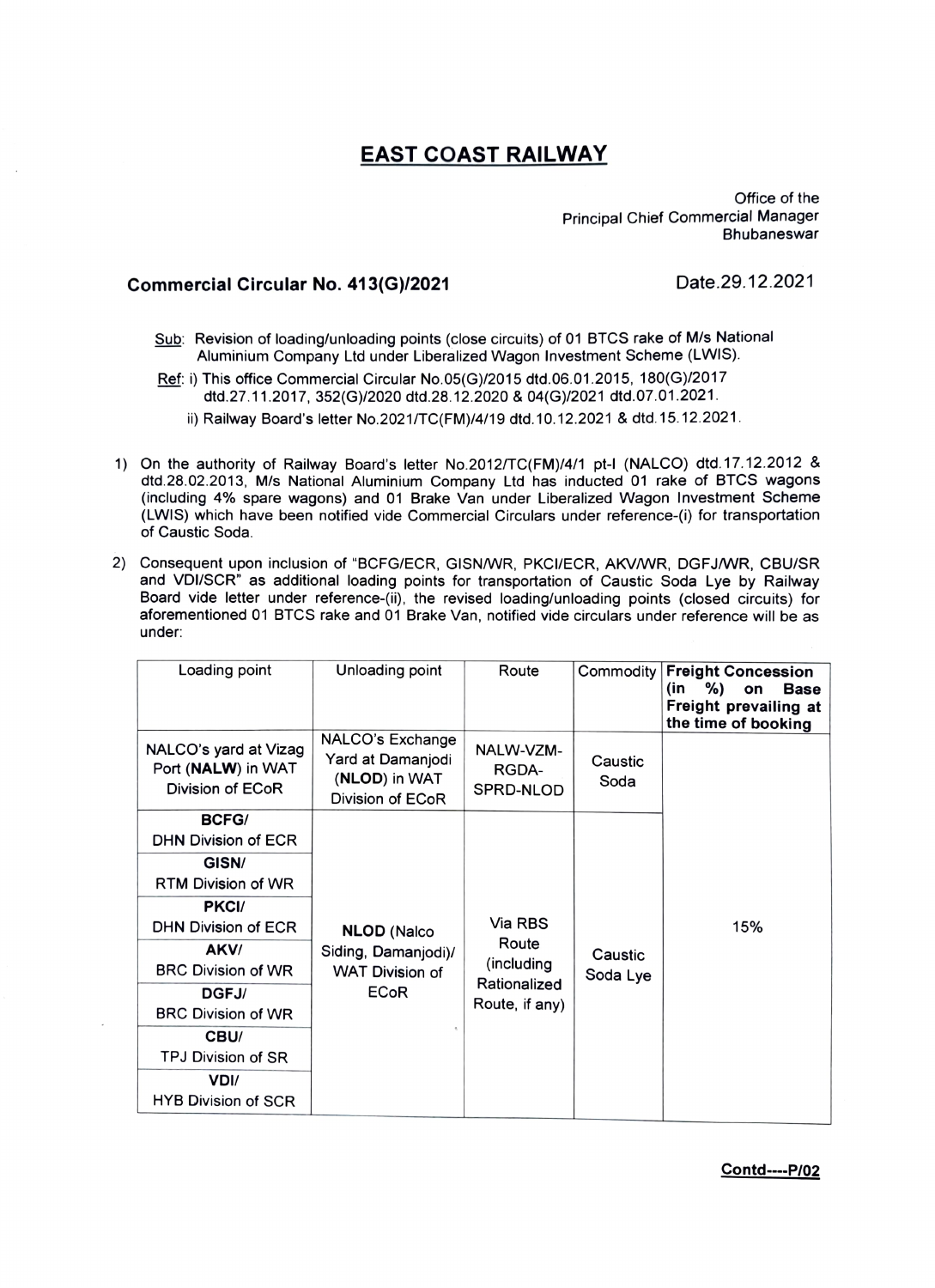## EAST COAST RAILWAY

Office of the Principal Chief Commercial Manager **Bhubaneswar** 

## Commercial Circular No. 413(G)/2021 Date.29.12.2021

- Sub: Revision of loading/unloading points (close circuits) of 01 BTCS rake of M/s National Aluminium Company Ltd under Liberalized Wagon Investment Scheme (LWIS).
- Ref: i) This office Commercial Circular No.05(G)/2015 dtd.06.01.2015, 180(G)/2017 dtd.27.11.2017, 352(G/2020 dtd.28.12.2020 & 04(G)/2021 dtd.07.01.2021.
	- i) Railway Board's letter No.2021/TC(FM)/4/19 dtd. 10.12.2021 & dtd.15.12.2021.
- 1) On the authority of Railway Board's letter No.2012/TC(FM)/4/1 pt-I (NALco) dtd.17.12.2012 & dtd.28.02.2013, M/s National Aluminium Company Ltd has inducted 01 rake of BTCS wagons (including 4% spare wagons) and 01 Brake Van under Liberalized Wagon Investment Scheme (LWIS) which have been notified vide Commercial Circulars under reference-(i) for transportation of Caustic Soda.
- 2) Consequent upon inclusion of "BCFG/ECR, GISNWR, PKCI/ECR, AKVWR, DGFJWR, CBU/SR and VDi/SCR" as additional loading points for transportation of Caustic Soda Lye by Railway Board vide letter under reference-(i), the revised Ioading/unloading points (closed circuits) for aforementioned 01 BTcS rake and 01 Brake Van, notified vide circulars under reference will be as under

| Loading point                                                   | Unloading point                                                             | Route                                                            | Commodity           | <b>Freight Concession</b><br>%)<br>(in<br>on<br><b>Base</b><br>Freight prevailing at<br>the time of booking |
|-----------------------------------------------------------------|-----------------------------------------------------------------------------|------------------------------------------------------------------|---------------------|-------------------------------------------------------------------------------------------------------------|
| NALCO's yard at Vizag<br>Port (NALW) in WAT<br>Division of ECoR | NALCO's Exchange<br>Yard at Damanjodi<br>(NLOD) in WAT<br>Division of ECoR  | NALW-VZM-<br>RGDA-<br>SPRD-NLOD                                  | Caustic<br>Soda     |                                                                                                             |
| <b>BCFG/</b>                                                    |                                                                             |                                                                  |                     |                                                                                                             |
| DHN Division of ECR                                             |                                                                             |                                                                  |                     |                                                                                                             |
| GISN/                                                           |                                                                             |                                                                  |                     |                                                                                                             |
| RTM Division of WR                                              |                                                                             |                                                                  |                     |                                                                                                             |
| PKCI/                                                           | <b>NLOD</b> (Nalco<br>Siding, Damanjodi)/<br>WAT Division of<br><b>ECoR</b> | Via RBS<br>Route<br>(including<br>Rationalized<br>Route, if any) | Caustic<br>Soda Lye | 15%                                                                                                         |
| <b>DHN Division of ECR</b>                                      |                                                                             |                                                                  |                     |                                                                                                             |
| AKV/                                                            |                                                                             |                                                                  |                     |                                                                                                             |
| <b>BRC Division of WR</b>                                       |                                                                             |                                                                  |                     |                                                                                                             |
| DGFJ/                                                           |                                                                             |                                                                  |                     |                                                                                                             |
| <b>BRC Division of WR</b>                                       |                                                                             |                                                                  |                     |                                                                                                             |
| CBU/                                                            |                                                                             |                                                                  |                     |                                                                                                             |
| TPJ Division of SR                                              |                                                                             |                                                                  |                     |                                                                                                             |
| VDI/                                                            |                                                                             |                                                                  |                     |                                                                                                             |
| <b>HYB Division of SCR</b>                                      |                                                                             |                                                                  |                     |                                                                                                             |